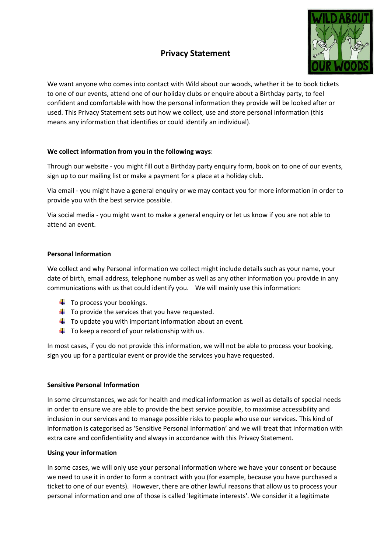# **Privacy Statement**



We want anyone who comes into contact with Wild about our woods, whether it be to book tickets to one of our events, attend one of our holiday clubs or enquire about a Birthday party, to feel confident and comfortable with how the personal information they provide will be looked after or used. This Privacy Statement sets out how we collect, use and store personal information (this means any information that identifies or could identify an individual).

## **We collect information from you in the following ways**:

Through our website - you might fill out a Birthday party enquiry form, book on to one of our events, sign up to our mailing list or make a payment for a place at a holiday club.

Via email - you might have a general enquiry or we may contact you for more information in order to provide you with the best service possible.

Via social media - you might want to make a general enquiry or let us know if you are not able to attend an event.

### **Personal Information**

We collect and why Personal information we collect might include details such as your name, your date of birth, email address, telephone number as well as any other information you provide in any communications with us that could identify you. We will mainly use this information:

- $\ddot{\bullet}$  To process your bookings.
- $\downarrow$  To provide the services that you have requested.
- $\frac{1}{\sqrt{1}}$  To update you with important information about an event.
- $\ddot{\bullet}$  To keep a record of your relationship with us.

In most cases, if you do not provide this information, we will not be able to process your booking, sign you up for a particular event or provide the services you have requested.

### **Sensitive Personal Information**

In some circumstances, we ask for health and medical information as well as details of special needs in order to ensure we are able to provide the best service possible, to maximise accessibility and inclusion in our services and to manage possible risks to people who use our services. This kind of information is categorised as 'Sensitive Personal Information' and we will treat that information with extra care and confidentiality and always in accordance with this Privacy Statement.

### **Using your information**

In some cases, we will only use your personal information where we have your consent or because we need to use it in order to form a contract with you (for example, because you have purchased a ticket to one of our events). However, there are other lawful reasons that allow us to process your personal information and one of those is called 'legitimate interests'. We consider it a legitimate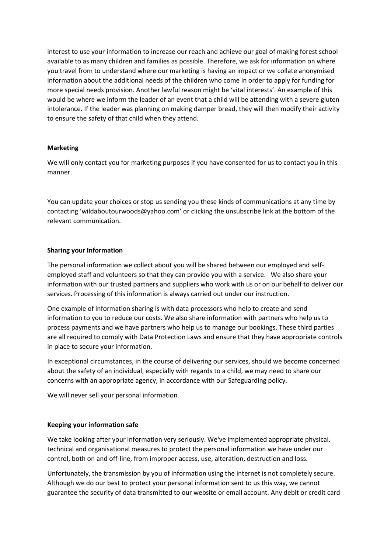interest to use your information to increase our reach and achieve our goal of making forest school available to as many children and families as possible. Therefore, we ask for information on where you travel from to understand where our marketing is having an impact or we collate anonymised information about the additional needs of the children who come in order to apply for funding for more special needs provision. Another lawful reason might be 'vital interests'. An example of this would be where we inform the leader of an event that a child will be attending with a severe gluten intolerance. If the leader was planning on making damper bread, they will then modify their activity to ensure the safety of that child when they attend.

## **Marketing**

We will only contact you for marketing purposes if you have consented for us to contact you in this manner.

You can update your choices or stop us sending you these kinds of communications at any time by contacting 'wildaboutourwoods@yahoo.com' or clicking the unsubscribe link at the bottom of the relevant communication.

## **Sharing your Information**

The personal information we collect about you will be shared between our employed and selfemployed staff and volunteers so that they can provide you with a service. We also share your information with our trusted partners and suppliers who work with us or on our behalf to deliver our services. Processing of this information is always carried out under our instruction.

One example of information sharing is with data processors who help to create and send information to you to reduce our costs. We also share information with partners who help us to process payments and we have partners who help us to manage our bookings. These third parties are all required to comply with Data Protection Laws and ensure that they have appropriate controls in place to secure your information.

In exceptional circumstances, in the course of delivering our services, should we become concerned about the safety of an individual, especially with regards to a child, we may need to share our concerns with an appropriate agency, in accordance with our Safeguarding policy.

We will never sell your personal information.

## **Keeping your information safe**

We take looking after your information very seriously. We've implemented appropriate physical, technical and organisational measures to protect the personal information we have under our control, both on and off-line, from improper access, use, alteration, destruction and loss.

Unfortunately, the transmission by you of information using the internet is not completely secure. Although we do our best to protect your personal information sent to us this way, we cannot guarantee the security of data transmitted to our website or email account. Any debit or credit card